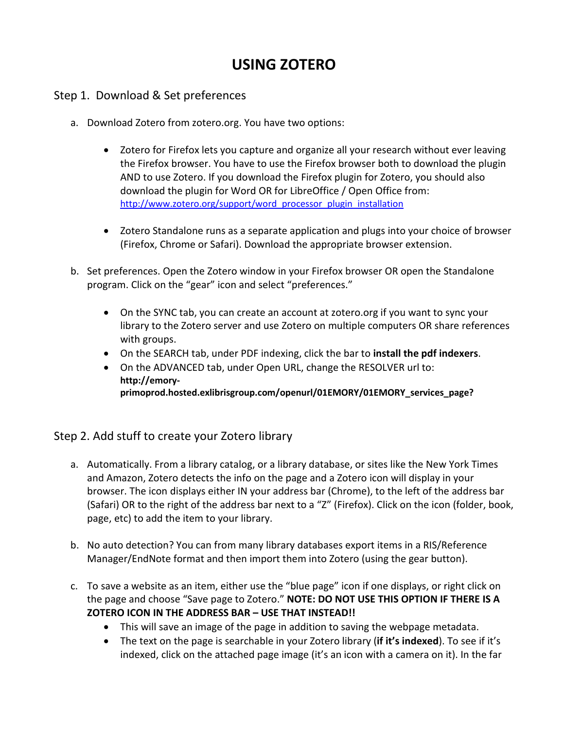# **USING ZOTERO**

#### Step 1. Download & Set preferences

- a. Download Zotero from zotero.org. You have two options:
	- Zotero for Firefox lets you capture and organize all your research without ever leaving the Firefox browser. You have to use the Firefox browser both to download the plugin AND to use Zotero. If you download the Firefox plugin for Zotero, you should also download the plugin for Word OR for LibreOffice / Open Office from: [http://www.zotero.org/support/word\\_processor\\_plugin\\_installation](http://www.zotero.org/support/word_processor_plugin_installation)
	- Zotero Standalone runs as a separate application and plugs into your choice of browser (Firefox, Chrome or Safari). Download the appropriate browser extension.
- b. Set preferences. Open the Zotero window in your Firefox browser OR open the Standalone program. Click on the "gear" icon and select "preferences."
	- On the SYNC tab, you can create an account at zotero.org if you want to sync your library to the Zotero server and use Zotero on multiple computers OR share references with groups.
	- On the SEARCH tab, under PDF indexing, click the bar to **install the pdf indexers**.
	- On the ADVANCED tab, under Open URL, change the RESOLVER url to: **http://emoryprimoprod.hosted.exlibrisgroup.com/openurl/01EMORY/01EMORY\_services\_page?**

#### Step 2. Add stuff to create your Zotero library

- a. Automatically. From a library catalog, or a library database, or sites like the New York Times and Amazon, Zotero detects the info on the page and a Zotero icon will display in your browser. The icon displays either IN your address bar (Chrome), to the left of the address bar (Safari) OR to the right of the address bar next to a "Z" (Firefox). Click on the icon (folder, book, page, etc) to add the item to your library.
- b. No auto detection? You can from many library databases export items in a RIS/Reference Manager/EndNote format and then import them into Zotero (using the gear button).
- c. To save a website as an item, either use the "blue page" icon if one displays, or right click on the page and choose "Save page to Zotero." **NOTE: DO NOT USE THIS OPTION IF THERE IS A ZOTERO ICON IN THE ADDRESS BAR – USE THAT INSTEAD!!**
	- This will save an image of the page in addition to saving the webpage metadata.
	- The text on the page is searchable in your Zotero library (**if it's indexed**). To see if it's indexed, click on the attached page image (it's an icon with a camera on it). In the far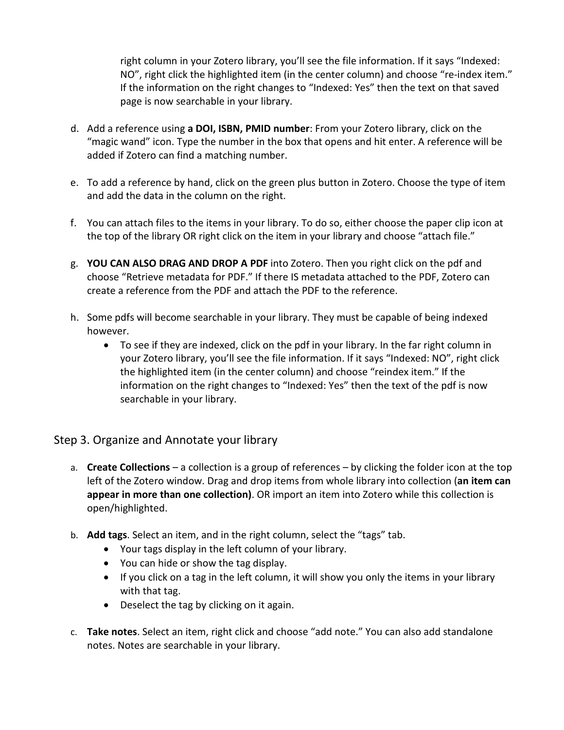right column in your Zotero library, you'll see the file information. If it says "Indexed: NO", right click the highlighted item (in the center column) and choose "re-index item." If the information on the right changes to "Indexed: Yes" then the text on that saved page is now searchable in your library.

- d. Add a reference using **a DOI, ISBN, PMID number**: From your Zotero library, click on the "magic wand" icon. Type the number in the box that opens and hit enter. A reference will be added if Zotero can find a matching number.
- e. To add a reference by hand, click on the green plus button in Zotero. Choose the type of item and add the data in the column on the right.
- f. You can attach files to the items in your library. To do so, either choose the paper clip icon at the top of the library OR right click on the item in your library and choose "attach file."
- g. **YOU CAN ALSO DRAG AND DROP A PDF** into Zotero. Then you right click on the pdf and choose "Retrieve metadata for PDF." If there IS metadata attached to the PDF, Zotero can create a reference from the PDF and attach the PDF to the reference.
- h. Some pdfs will become searchable in your library. They must be capable of being indexed however.
	- To see if they are indexed, click on the pdf in your library. In the far right column in your Zotero library, you'll see the file information. If it says "Indexed: NO", right click the highlighted item (in the center column) and choose "reindex item." If the information on the right changes to "Indexed: Yes" then the text of the pdf is now searchable in your library.

#### Step 3. Organize and Annotate your library

- a. **Create Collections** a collection is a group of references by clicking the folder icon at the top left of the Zotero window. Drag and drop items from whole library into collection (**an item can appear in more than one collection)**. OR import an item into Zotero while this collection is open/highlighted.
- b. **Add tags**. Select an item, and in the right column, select the "tags" tab.
	- Your tags display in the left column of your library.
	- You can hide or show the tag display.
	- If you click on a tag in the left column, it will show you only the items in your library with that tag.
	- Deselect the tag by clicking on it again.
- c. **Take notes**. Select an item, right click and choose "add note." You can also add standalone notes. Notes are searchable in your library.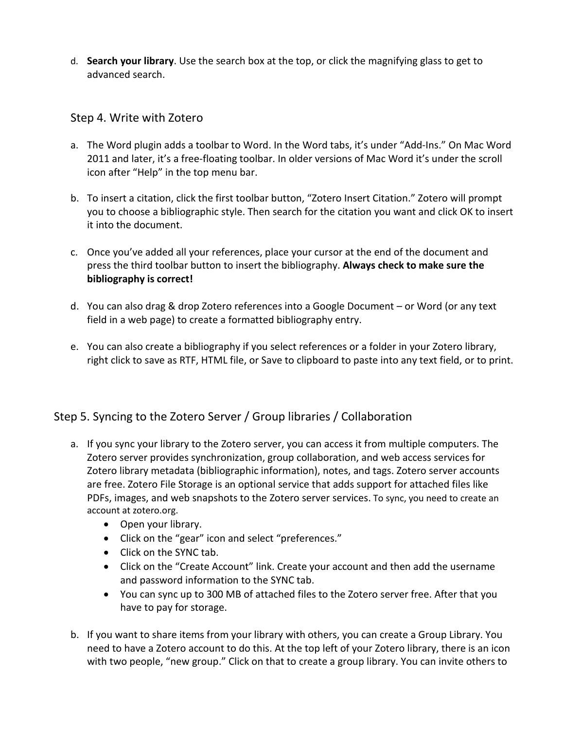d. **Search your library**. Use the search box at the top, or click the magnifying glass to get to advanced search.

### Step 4. Write with Zotero

- a. The Word plugin adds a toolbar to Word. In the Word tabs, it's under "Add-Ins." On Mac Word 2011 and later, it's a free-floating toolbar. In older versions of Mac Word it's under the scroll icon after "Help" in the top menu bar.
- b. To insert a citation, click the first toolbar button, "Zotero Insert Citation." Zotero will prompt you to choose a bibliographic style. Then search for the citation you want and click OK to insert it into the document.
- c. Once you've added all your references, place your cursor at the end of the document and press the third toolbar button to insert the bibliography. **Always check to make sure the bibliography is correct!**
- d. You can also drag & drop Zotero references into a Google Document or Word (or any text field in a web page) to create a formatted bibliography entry.
- e. You can also create a bibliography if you select references or a folder in your Zotero library, right click to save as RTF, HTML file, or Save to clipboard to paste into any text field, or to print.

## Step 5. Syncing to the Zotero Server / Group libraries / Collaboration

- a. If you sync your library to the Zotero server, you can access it from multiple computers. The Zotero server provides synchronization, group collaboration, and web access services for Zotero library metadata (bibliographic information), notes, and tags. Zotero server accounts are free. Zotero File Storage is an optional service that adds support for attached files like PDFs, images, and web snapshots to the Zotero server services. To sync, you need to create an account at zotero.org.
	- Open your library.
	- Click on the "gear" icon and select "preferences."
	- Click on the SYNC tab.
	- Click on the "Create Account" link. Create your account and then add the username and password information to the SYNC tab.
	- You can sync up to 300 MB of attached files to the Zotero server free. After that you have to pay for storage.
- b. If you want to share items from your library with others, you can create a Group Library. You need to have a Zotero account to do this. At the top left of your Zotero library, there is an icon with two people, "new group." Click on that to create a group library. You can invite others to